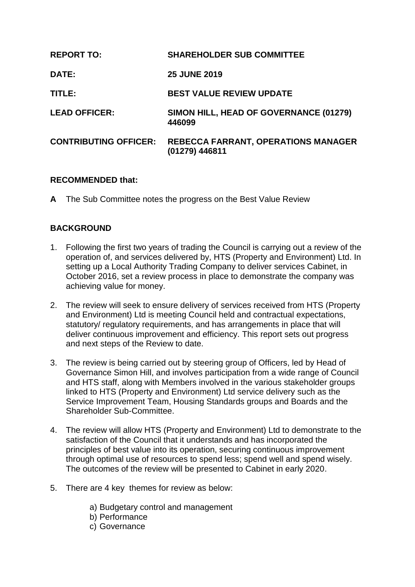| <b>REPORT TO:</b>            | <b>SHAREHOLDER SUB COMMITTEE</b>                             |
|------------------------------|--------------------------------------------------------------|
| DATE:                        | <b>25 JUNE 2019</b>                                          |
| TITLE:                       | <b>BEST VALUE REVIEW UPDATE</b>                              |
| <b>LEAD OFFICER:</b>         | SIMON HILL, HEAD OF GOVERNANCE (01279)<br>446099             |
| <b>CONTRIBUTING OFFICER:</b> | <b>REBECCA FARRANT, OPERATIONS MANAGER</b><br>(01279) 446811 |

#### **RECOMMENDED that:**

**A** The Sub Committee notes the progress on the Best Value Review

# **BACKGROUND**

- 1. Following the first two years of trading the Council is carrying out a review of the operation of, and services delivered by, HTS (Property and Environment) Ltd. In setting up a Local Authority Trading Company to deliver services Cabinet, in October 2016, set a review process in place to demonstrate the company was achieving value for money.
- 2. The review will seek to ensure delivery of services received from HTS (Property and Environment) Ltd is meeting Council held and contractual expectations, statutory/ regulatory requirements, and has arrangements in place that will deliver continuous improvement and efficiency. This report sets out progress and next steps of the Review to date.
- 3. The review is being carried out by steering group of Officers, led by Head of Governance Simon Hill, and involves participation from a wide range of Council and HTS staff, along with Members involved in the various stakeholder groups linked to HTS (Property and Environment) Ltd service delivery such as the Service Improvement Team, Housing Standards groups and Boards and the Shareholder Sub-Committee.
- 4. The review will allow HTS (Property and Environment) Ltd to demonstrate to the satisfaction of the Council that it understands and has incorporated the principles of best value into its operation, securing continuous improvement through optimal use of resources to spend less; spend well and spend wisely. The outcomes of the review will be presented to Cabinet in early 2020.
- 5. There are 4 key themes for review as below:
	- a) Budgetary control and management
	- b) Performance
	- c) Governance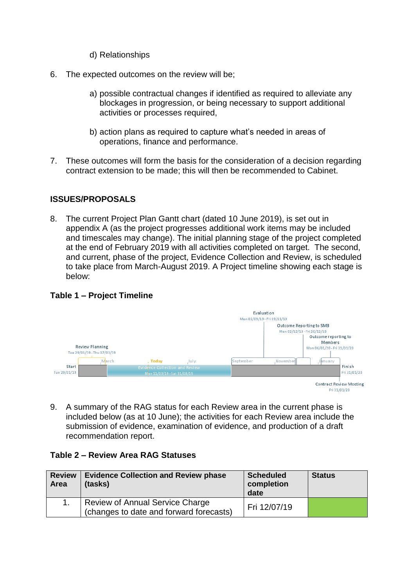- d) Relationships
- 6. The expected outcomes on the review will be;
	- a) possible contractual changes if identified as required to alleviate any blockages in progression, or being necessary to support additional activities or processes required,
	- b) action plans as required to capture what's needed in areas of operations, finance and performance.
- 7. These outcomes will form the basis for the consideration of a decision regarding contract extension to be made; this will then be recommended to Cabinet.

# **ISSUES/PROPOSALS**

8. The current Project Plan Gantt chart (dated 10 June 2019), is set out in appendix A (as the project progresses additional work items may be included and timescales may change). The initial planning stage of the project completed at the end of February 2019 with all activities completed on target. The second, and current, phase of the project, Evidence Collection and Review, is scheduled to take place from March-August 2019. A Project timeline showing each stage is below:

#### **Table 1 – Project Timeline**



9. A summary of the RAG status for each Review area in the current phase is included below (as at 10 June); the activities for each Review area include the submission of evidence, examination of evidence, and production of a draft recommendation report.

#### **Table 2 – Review Area RAG Statuses**

| <b>Review</b><br>Area | <b>Evidence Collection and Review phase</b><br>(tasks)                     | <b>Scheduled</b><br>completion<br>date | <b>Status</b> |
|-----------------------|----------------------------------------------------------------------------|----------------------------------------|---------------|
|                       | Review of Annual Service Charge<br>(changes to date and forward forecasts) | Fri 12/07/19                           |               |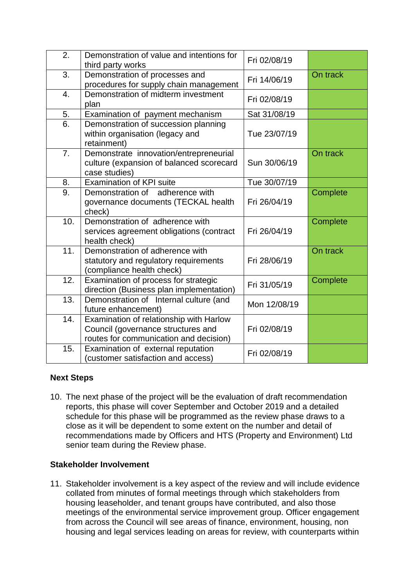| 2.               | Demonstration of value and intentions for<br>third party works                                                          | Fri 02/08/19 |          |
|------------------|-------------------------------------------------------------------------------------------------------------------------|--------------|----------|
| 3.               | Demonstration of processes and<br>procedures for supply chain management                                                | Fri 14/06/19 | On track |
| $\overline{4}$ . | Demonstration of midterm investment<br>plan                                                                             | Fri 02/08/19 |          |
| 5.               | Examination of payment mechanism                                                                                        | Sat 31/08/19 |          |
| 6.               | Demonstration of succession planning<br>within organisation (legacy and<br>retainment)                                  | Tue 23/07/19 |          |
| 7.               | Demonstrate innovation/entrepreneurial<br>culture (expansion of balanced scorecard<br>case studies)                     | Sun 30/06/19 | On track |
| 8.               | <b>Examination of KPI suite</b>                                                                                         | Tue 30/07/19 |          |
| 9.               | Demonstration of<br>adherence with<br>governance documents (TECKAL health<br>check)                                     | Fri 26/04/19 | Complete |
| 10.              | Demonstration of adherence with<br>services agreement obligations (contract<br>health check)                            | Fri 26/04/19 | Complete |
| 11.              | Demonstration of adherence with<br>statutory and regulatory requirements<br>(compliance health check)                   | Fri 28/06/19 | On track |
| 12.              | Examination of process for strategic<br>direction (Business plan implementation)                                        | Fri 31/05/19 | Complete |
| 13.              | Demonstration of Internal culture (and<br>future enhancement)                                                           | Mon 12/08/19 |          |
| 14.              | Examination of relationship with Harlow<br>Council (governance structures and<br>routes for communication and decision) | Fri 02/08/19 |          |
| 15.              | Examination of external reputation<br>(customer satisfaction and access)                                                | Fri 02/08/19 |          |

# **Next Steps**

10. The next phase of the project will be the evaluation of draft recommendation reports, this phase will cover September and October 2019 and a detailed schedule for this phase will be programmed as the review phase draws to a close as it will be dependent to some extent on the number and detail of recommendations made by Officers and HTS (Property and Environment) Ltd senior team during the Review phase.

# **Stakeholder Involvement**

11. Stakeholder involvement is a key aspect of the review and will include evidence collated from minutes of formal meetings through which stakeholders from housing leaseholder, and tenant groups have contributed, and also those meetings of the environmental service improvement group. Officer engagement from across the Council will see areas of finance, environment, housing, non housing and legal services leading on areas for review, with counterparts within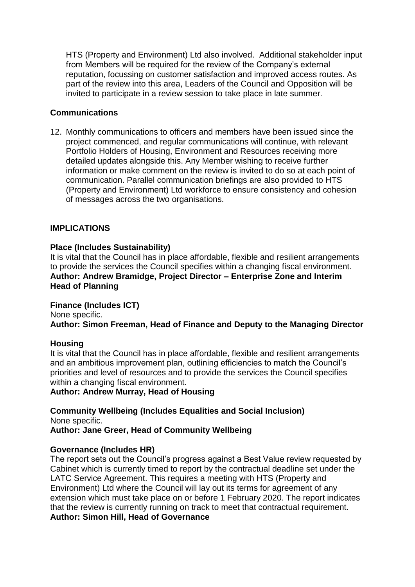HTS (Property and Environment) Ltd also involved. Additional stakeholder input from Members will be required for the review of the Company's external reputation, focussing on customer satisfaction and improved access routes. As part of the review into this area, Leaders of the Council and Opposition will be invited to participate in a review session to take place in late summer.

#### **Communications**

12. Monthly communications to officers and members have been issued since the project commenced, and regular communications will continue, with relevant Portfolio Holders of Housing, Environment and Resources receiving more detailed updates alongside this. Any Member wishing to receive further information or make comment on the review is invited to do so at each point of communication. Parallel communication briefings are also provided to HTS (Property and Environment) Ltd workforce to ensure consistency and cohesion of messages across the two organisations.

#### **IMPLICATIONS**

#### **Place (Includes Sustainability)**

It is vital that the Council has in place affordable, flexible and resilient arrangements to provide the services the Council specifies within a changing fiscal environment. **Author: Andrew Bramidge, Project Director – Enterprise Zone and Interim Head of Planning**

#### **Finance (Includes ICT)**

None specific. **Author: Simon Freeman, Head of Finance and Deputy to the Managing Director**

#### **Housing**

It is vital that the Council has in place affordable, flexible and resilient arrangements and an ambitious improvement plan, outlining efficiencies to match the Council's priorities and level of resources and to provide the services the Council specifies within a changing fiscal environment.

**Author: Andrew Murray, Head of Housing**

**Community Wellbeing (Includes Equalities and Social Inclusion)** None specific. **Author: Jane Greer, Head of Community Wellbeing**

#### **Governance (Includes HR)**

The report sets out the Council's progress against a Best Value review requested by Cabinet which is currently timed to report by the contractual deadline set under the LATC Service Agreement. This requires a meeting with HTS (Property and Environment) Ltd where the Council will lay out its terms for agreement of any extension which must take place on or before 1 February 2020. The report indicates that the review is currently running on track to meet that contractual requirement. **Author: Simon Hill, Head of Governance**